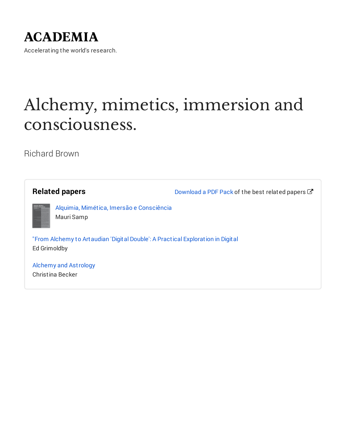## **ACADEMIA**

Accelerating the world's research.

# Alchemy, mimetics, immersion and consciousness.

Richard Brown

| <b>Related papers</b>                                                                                   | Download a PDF Pack of the best related papers $\mathbb{Z}^{\bullet}$ |
|---------------------------------------------------------------------------------------------------------|-----------------------------------------------------------------------|
| Alquimis, Minvitica,<br>Anerxão e Consciênci<br>Alquimia, Mimética, Imersão e Consciência<br>Mauri Samp |                                                                       |
| "From Alchemy to Artaudian 'Digital Double': A Practical Exploration in Digital<br>Ed Grimoldby         |                                                                       |
| <b>Alchemy and Astrology</b><br>Christina Becker                                                        |                                                                       |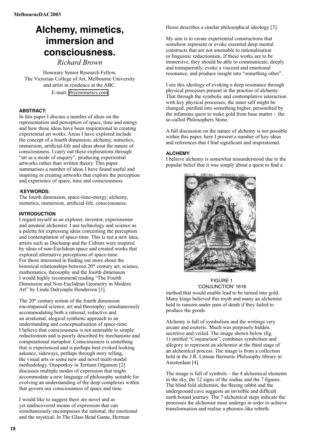### **Alchemy, mimetics, immersion and consciousness.**

*Richard Brown*

Honorary Senior Research Fellow, The Victorian College of Art, Melbourne University and artist in residence at the ABC. E-mail: [rb@mimetics.com](mailto:rb@mimetics.com)

#### **ABSTRACT:**

In this paper I discuss a number of ideas on the representation and perception of space, time and energy and how these ideas have been inspirational in creating experiential art works. Areas I have explored include the concept of a fourth dimension, alchemy, mimetics, immersion, artificial-life and ideas about the nature of consciousness. I carry out these explorations through "art as a mode of enquiry", producing experiential artworks rather than written theory. This paper summarises a number of ideas I have found useful and inspiring in creating artworks that explore the perception and experience of space, time and consciousness.

#### **KEYWORDS:**

The fourth dimension, space-time-energy, alchemy, mimetics, immersion, artificial-life, consciousness.

#### **INTRODUCTION**

I regard myself as an explorer, inventor, experimenter and amateur alchemist. I use technology and science as a palette for expressing ideas concerning the perception and contemplation of space-time. This is not a new idea, artists such as Duchamp and the Cubists were inspired by ideas of non-Euclidean space and created works that explored alternative perceptions of space-time. For those interested in finding out more about the historical relationships between  $20<sup>th</sup>$  century art, science, mathematics, theosophy and the fourth dimension I would highly recommend reading "The Fourth Dimension and Non-Euclidean Geometry in Modern Art" by Linda Dalrymple Henderson [1].

The  $20<sup>th</sup>$  century notion of the fourth dimension encompassed science, art and theosophy; simultaneously accommodating both a rational, reductive and an arrational, alogical synthetic approach to an understanding and conceptualisation of space-time. I believe that consciousness is not amenable to simple reductionism and is poorly described by mechanistic and computational metaphor. Consciousness is something that is experienced and is perhaps best evoked looking askance, sideways, perhaps through story telling, the visual arts or some new and novel multi-modal methodology. Ouspenksy in Tertium Organum [2] discusses multiple modes of expression that might accommodate a new language of philosophy suitable for evolving an understanding of the deep complexes within that govern our consciousness of space and time.

I would like to suggest there are novel and as yet undiscovered means of expression that can simultaneously encompasses the rational, the emotional and the mystical. In The Glass Bead Game, Herman

Hesse describes a similar philosophical ideology [3].

My aim is to create experiential constructions that somehow represent or evoke essential deep mental constructs that are not amenable to rationalisation or linguistic reductionism. If these works are to be immersive, they should be able to communicate, deeply and transparently, evoke a visceral and emotional resonance, and produce insight into "something other".

I see this ideology of evoking a deep resonance through physical processes present in the practise of alchemy. That through the symbolic and contemplative interaction with key physical processes, the inner self might be changed, purified into something higher, personified by the infamous quest to make gold from base matter - the so-called Philosophers Stone.

A full discussion on the nature of alchemy is not possible within this paper, here I present a number of key ideas and references that I find significant and inspirational.

#### **ALCHEMY**

I believe alchemy is somewhat misunderstood due to the popular belief that it was simply about a quest to find a



#### FIGURE 1 ʻCONJUNCTION' 1616

method that would enable lead to be turned into gold. Many kings believed this myth and many an alchemist held to ransom under pain of death if they failed to produce the goods.

Alchemy is full of symbolism and the writings very arcane and esoteric. Much was purposely hidden, secretive and veiled. The image shown below (fig. 1) entitled "Conjunction", combines symbolism and allegory to represent an alchemist at the third stage of an alchemical process. The image is from a collection held in the J.R. Litman Hermetic Philosophy library in Amsterdam [4].

The image is full of symbols – the 4 alchemical elements in the sky, the 12 signs of the zodiac and the 7 figures. The blind fold alchemist, the fleeing rabbit and the underground cave suggests an invisible and dificult earth bound journey. The 7 alchemical steps indicate the processes the alchemist must undergo in order to achieve transformation and realise a phoenix-like rebirth.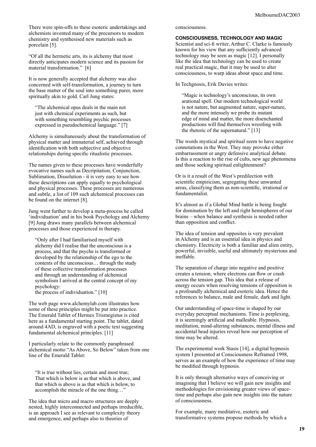There were spin-offs to these esoteric undertakings and alchemists invented many of the precursors to modern chemistry and synthesised new materials such as porcelain [5].

"Of all the hermetic arts, its is alchemy that most directly anticipates modern science and its passion for material transformation." [6]

It is now generally accepted that alchemy was also concerned with self-transformation, a journey to turn the base matter of the soul into something purer, more spiritually akin to gold. Carl Jung states:

"The alchemical opus deals in the main not just with chemical experiments as such, but with something resembling psychic processes expressed in pseudochemical language." [7]

Alchemy is simultaneously about the transformation of physical matter and immaterial self, achieved through identification with both subjective and objective relationships during specific ritualistic processes.

The names given to these processes have wonderfully evocative names such as Decripitation, Conjunction, Sublimation, Dissolution - it is very easy to see how these descriptions can apply equally to psychological and physical processes. These processes are numerous and subtle, a list of 109 such alchemical processes can be found on the internet [8].

Jung went further to develop a meta-process he called 'individuation' and in his book Psychology and Alchemy [9] Jung draws many parallels between alchemical processes and those experienced in therapy.

"Only after I had familiarised myself with alchemy did I realise that the unconscious is a process, and that the psyche is transformed or developed by the relationship of the ego to the contents of the unconscious… through the study of these collective transformation processes and through an understanding of alchemical symbolism I arrived at the central concept of my psychology:

the process of individuation." [10]

The web page www.alchemylab.com illustrates how some of these principles might be put into practice. The Emerald Tablet of Hermes Trismegistus is cited here as a fundamental starting point. The tablet, dated around 4AD, is engraved with a poetic text suggesting fundamental alchemical principles. [11]

I particularly relate to the commonly paraphrased alchemical motto "As Above, So Below" taken from one line of the Emerald Tablet:

"It is true without lies, certain and most true; That which is below is as that which is above, and that which is above is as that which is below, to accomplish the miracle of the one thing...'

The idea that micro and macro structures are deeply nested, highly interconnected and perhaps irreducible, is an approach I see as relevant to complexity theory and emergence, and perhaps also to theories of

#### consciousness.

#### **CONSCIOUSNESS, TECHNOLOGY AND MAGIC**

Scientist and sci-fi writer, Arthur C. Clarke is famously known for his view that any suficiently advanced technology may be seen as magic [12]. I personally like the idea that technology can be used to create real practical magic, that it may be used to alter consciousness, to warp ideas about space and time.

In Techgnosis, Erik Davies writes:

"Magic is technology's unconscious, its own arational spell. Our modern technological world is not nature, but augmented nature, super-nature, and the more intensely we probe its mutant edge of mind and matter, the more disenchanted productions will find themselves wrestling with the rhetoric of the supernatural." [13]

The words mystical and spiritual seem to have negative connotations in the West. They may provoke either embarrassment or angry defensive analytical debate. Is this a reaction to the rise of cults, new age phenomena and those seeking spiritual enlightenment?

Or is it a result of the West's predilection with scientific empiricism, segregating these unwanted areas, classifying them as non-scientiic, irrational or fundamentalist.

It's almost as if a Global Mind battle is being fought for domination by the left and right hemispheres of our brains – when balance and synthesis is needed rather than opposition and conflict.

The idea of tension and opposites is very prevalent in Alchemy and is an essential idea in physics and chemistry. Electricity is both a familiar and alien entity, powerful, invisible, useful and ultimately mysterious and ineffable.

The separation of charge into negative and positive creates a tension, where electrons can flow or crash across the tension gap. This idea that a release of energy occurs when resolving tensions of opposition is a profoundly alchemical and esoteric idea. Hence the references to balance, male and female, dark and light.

Our understanding of space-time is shaped by our everyday perceptual mechanisms. Time is perplexing, it is seemingly artificial and malleable. Hypnosis, meditation, mind-altering substances, mental illness and accidental head injuries reveal how our perception of time may be altered.

The experimental work Stasis [14], a digital hypnosis system I presented at Consciousness Reframed 1998, serves as an example of how the experience of time may be modified through hypnosis.

It is only through alternative ways of conceiving or imagining that I believe we will gain new insights and methodologies for envisioning greater views of spacetime and perhaps also gain new insights into the nature of consciousness.

For example, many meditative, esoteric and transformative systems propose methods by which a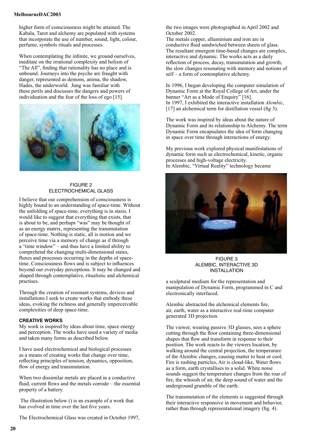#### **MelbourneDAC2003**

higher form of consciousness might be attained. The Kabala, Tarot and alchemy are populated with systems that incorporate the use of number, sound, light, colour, perfume, symbols rituals and processes.

When contemplating the infinite, we ground ourselves, meditate on the irrational complexity and holism of "The All", finding that rationality has no place and is unbound. Journeys into the psyche are fraught with danger, represented as demons, anima, the shadow, Hades, the underworld. Jung was familiar with these perils and discusses the dangers and powers of individuation and the fear of the loss of ego [15].



#### FIGURE 2 ELECTROCHEMICAL GLASS

I believe that our comprehension of consciousness is highly bound to an understanding of space-time. Without the unfolding of space-time, everything is in stasis. I would like to suggest that everything that exists, that is about to be, and perhaps "was" may be thought of as an energy matrix, representing the transmutation of space-time. Nothing is static, all is motion and we perceive time via a memory of change as if through a "time window" – and thus have a limited ability to comprehend the changing multi-dimensional states, fluxes and processes occurring in the depths of spacetime. Consciousness flows and is subject to influences beyond our everyday perceptions. It may be changed and shaped through contemplative, ritualistic and alchemical practises.

Through the creation of resonant systems, devices and installations I seek to create works that embody these ideas, evoking the richness and generally imperceivable complexities of deep space-time.

#### **CREATIVE WORKS**

My work is inspired by ideas about time, space energy and perception. The works have used a variety of media and taken many forms as described below.

I have used electrochemical and biological processes as a means of creating works that change over time, reflecting principles of tension, dynamics, opposition, flow of energy and transmutation.

When two dissimilar metals are placed in a conductive fluid, current flows and the metals corrode – the essential property of a battery.

 The illustration below () is an example of a work that has evolved in time over the last five years.

The Electrochemical Glass was created in October 1997,

the two images were photographed in April 2002 and October 2002.

The metals copper, alluminium and iron are in conductive fluid sandwiched between sheets of glass. The resultant emergent time-based changes are complex, interactive and dynamic. The works acts as a daily reflection of process, decay, transmutation and growth; the slow changes resonating with memory and notions of self – a form of contemplative alchemy.

In 1996, I began developing the computer simulation of Dynamic Form at the Royal College of Art, under the banner "Art as a Mode of Enquiry" [16]. In 1997, I exhibited the interactive installation *Alembic*,  $[17]$  an alchemical term for distillation vessel (fig 3).

The work was inspired by ideas about the nature of Dynamic Form and its relationship to Alchemy. The term Dynamic Form encapsulates the idea of form changing in space over time through interactions of energy.

My previous work explored physical manifestations of dynamic form such as electrochemical, kinetic, organic processes and high-voltage electricity. In Alembic, "Virtual Reality" technology became



FIGURE 3 ALEMBIC, INTERACTIVE 3D INSTALLATION

a sculptural medium for the representation and manipulation of Dynamic Form, programmed in C and electronically interfaced.

Alembic abstracted the alchemical elements fire, air, earth, water as a interactive real-time computer generated 3D projection.

The viewer, wearing passive 3D glasses, sees a sphere cutting through the loor containing three-dimensional shapes that flow and transform in response to their position. The work reacts to the viewers location, by walking around the central projection, the temperature of the Alembic changes, causing matter to heat or cool. Fire is rushing particles, Air is cloud-like, Water flows as a form, earth crystallises to a solid. White noise sounds suggest the temperature changes from the roar of fire, the whoosh of air, the deep sound of water and the underground grumble of the earth.

The transmutation of the elements is suggested through their interactive responsive in movement and behavior, rather than through representational imagery (fig. 4).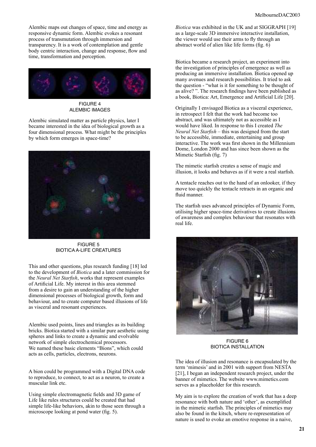Alembic maps out changes of space, time and energy as responsive dynamic form. Alembic evokes a resonant process of transmutation through immersion and transparency. It is a work of contemplation and gentle body centric interaction, change and response, flow and time, transformation and perception.



FIGURE 4 ALEMBIC IMAGES

Alembic simulated matter as particle physics, later I became interested in the idea of biological growth as a four dimensional process. What might be the principles by which form emerges in space-time?



FIGURE 5 BIOTICA A-LIFE CREATURES

This and other questions, plus research funding [18] led to the development of *Biotica* and a later commission for the *Neural Net Starish*, works that represent examples of Artificial Life. My interest in this area stemmed from a desire to gain an understanding of the higher dimensional processes of biological growth, form and behaviour, and to create computer based illusions of life as visceral and resonant experiences.

Alembic used points, lines and triangles as its building bricks. Biotica started with a similar pure aesthetic using spheres and links to create a dynamic and evolvable network of simple electrochemical processors. We named these basic elements "Bions", which could acts as cells, particles, electrons, neurons.

A bion could be programmed with a Digital DNA code to reproduce, to connect, to act as a neuron, to create a muscular link etc.

Using simple electromagnetic fields and 3D game of Life like rules structures could be created that had simple life-like behaviors, akin to those seen through a microscope looking at pond water (fig. 5).

*Biotica* was exhibited in the UK and at SIGGRAPH [19] as a large-scale 3D immersive interactive installation, the viewer would use their arms to fly through an abstract world of alien like life forms (fig.  $6$ )

Biotica became a research project, an experiment into the investigation of principles of emergence as well as producing an immersive installation. Biotica opened up many avenues and research possibilities. It tried to ask the question - "what is it for something to be thought of as alive? ". The research findings have been published as a book, Biotica: Art, Emergence and Artificial Life [20].

Originally I envisaged Biotica as a visceral experience, in retrospect I felt that the work had become too abstract, and was ultimately not as accessible as I would have liked. In response to this I created *The Neural Net Starish* – this was designed from the start to be accessible, immediate, entertaining and group interactive. The work was first shown in the Millennium Dome, London 2000 and has since been shown as the Mimetic Starfish (fig. 7)

The mimetic starfish creates a sense of magic and illusion, it looks and behaves as if it were a real starish.

A tentacle reaches out to the hand of an onlooker, if they move too quickly the tentacle retracts in an organic and fluid manner.

The starish uses advanced principles of Dynamic Form, utilising higher space-time derivatives to create illusions of awareness and complex behaviour that resonates with real life.



FIGURE 6 BIOTICA INSTALLATION

The idea of illusion and resonance is encapsulated by the term 'mimesis' and in 2001 with support from NESTA [21], I began an independent research project, under the banner of mimetics. The website www.mimetics.com serves as a placeholder for this research.

My aim is to explore the creation of work that has a deep resonance with both nature and 'other', as exemplified in the mimetic starfish. The principles of mimetics may also be found in the kitsch, where re-representation of nature is used to evoke an emotive response in a naive,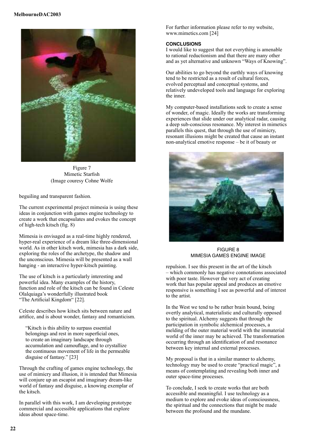

Figure 7 Mimetic Starfish (Image couresy Cohne Wolfe

beguiling and transparent fashion.

The current experimental project mimesia is using these ideas in conjunction with games engine technology to create a work that encapsulates and evokes the concept of high-tech kitsch (fig.  $8$ )

Mimesia is envisaged as a real-time highly rendered, hyper-real experience of a dream like three-dimensional world. As in other kitsch work, mimesia has a dark side, exploring the roles of the archetype, the shadow and the unconscious. Mimesia will be presented as a wall hanging - an interactive hyper-kitsch painting.

The use of kitsch is a particularly interesting and powerful idea. Many examples of the history, function and role of the kitsch can be found in Celeste Olalquiaga's wonderfully illustrated book "The Artificial Kingdom" [22].

Celeste describes how kitsch sits between nature and artifice, and is about wonder, fantasy and romanticism.

"Kitsch is this ability to surpass essential belongings and rest in more supericial ones, to create an imaginary landscape through accumulation and camouflage, and to crystallize the continuous movement of life in the permeable disguise of fantasy." [23]

Through the crafting of games engine technology, the use of mimicry and illusion, it is intended that Mimesia will conjure up an escapist and imaginary dream-like world of fantasy and disguise, a knowing exemplar of the kitsch.

In parallel with this work, I am developing prototype commercial and accessible applications that explore ideas about space-time.

For further information please refer to my website, www.mimetics.com [24]

#### **CONCLUSIONS**

I would like to suggest that not everything is amenable to rational reductionism and that there are many other and as yet alternative and unknown "Ways of Knowing".

Our abilities to go beyond the earthly ways of knowing tend to be restricted as a result of cultural forces, evolved perceptual and conceptual systems, and relatively undeveloped tools and language for exploring the inner.

My computer-based installations seek to create a sense of wonder, of magic. Ideally the works are transforming experiences that slide under our analytical radar, causing a deep sub-conscious resonance. My interest in mimetics parallels this quest, that through the use of mimicry, resonant illusions might be created that cause an instant non-analytical emotive response – be it of beauty or



FIGURE 8 MIMESIA GAMES ENGINE IMAGE

repulsion. I see this present in the art of the kitsch – which commonly has negative connotations associated with poor taste. However the very act of creating work that has popular appeal and produces an emotive responsive is something I see as powerful and of interest to the artist.

In the West we tend to be rather brain bound, being overtly analytical, materialistic and culturally opposed to the spiritual. Alchemy suggests that through the participation in symbolic alchemical processes, a melding of the outer material world with the immaterial world of the inner may be achieved. The transformation occurring through an identification of and resonance between key internal and external processes.

My proposal is that in a similar manner to alchemy, technology may be used to create "practical magic", a means of contemplating and revealing both inner and outer space-time processes.

To conclude, I seek to create works that are both accessible and meaningful. I use technology as a medium to explore and evoke ideas of consciousness, the spiritual and the connections that might be made between the profound and the mundane.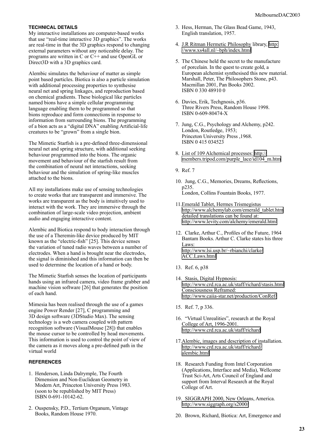#### **TECHNICAL DETAILS**

My interactive installations are computer-based works that use "real-time interactive 3D graphics". The works are real-time in that the 3D graphics respond to changing external parameters without any noticeable delay. The programs are written in C or C++ and use OpenGL or Direct3D with a 3D graphics card.

Alembic simulates the behaviour of matter as simple point based particles. Biotica is also a particle simulation with additional processing properties to synthesise neural net and spring linkages, and reproduction based on chemical gradients. These biological like particles named bions have a simple cellular programming language enabling them to be programmed so that bions reproduce and form connections in response to information from surrounding bions. The programming of a bion acts as a "digital DNA" enabling Artificial-life creatures to be "grown" from a single bion.

The Mimetic Starfish is a pre-defined three-dimensional neural net and spring structure, with additional seeking behaviour programmed into the bions. The organic movement and behaviour of the starish result from the combination of neural net interactions, seeking behaviour and the simulation of spring-like muscles attached to the bions.

All my installations make use of sensing technologies to create works that are transparent and immersive. The works are transparent as the body is intuitively used to interact with the work. They are immersive through the combination of large-scale video projection, ambient audio and engaging interactive content.

Alembic and Biotica respond to body interaction through the use of a Theremin-like device produced by MIT known as the "electric-fish" [25]. This device senses the variation of tuned radio waves between a number of electrodes. When a hand is brought near the electrodes, the signal is diminished and this information can then be used to determine the location of a hand or body.

The Mimetic Starfish senses the location of participants hands using an infrared camera, video frame grabber and machine vision software [26] that generates the position of each hand.

Mimesia has been realised through the use of a games engine Power Render [27], C programming and 3D design software (3DStudio Max). The sensing technology is a web camera coupled with pattern recognition software (VisualMouse [28]) that enables the mouse cursor to be controlled by head movements. This information is used to control the point of view of the camera as it moves along a pre-deined path in the virtual world

#### **REFERENCES**

- 1. Henderson, Linda Dalrymple, The Fourth Dimension and Non-Euclidean Geometry in Modern Art, Princeton University Press 1983. (soon to be republished by MIT Press) ISBN 0-691-10142-62.
- 2. Ouspensky, P.D., Tertium Organum, Vintage Books, Random House 1970.
- 3. Hess, Herman, The Glass Bead Game, 1943, English translation, 1957.
- 4. J.R Ritman Hermetic Philosophy library, [http:]( http://www.xs4all.nl/~bph/index.html ) [//www.xs4all.nl/~bph/index.html]( http://www.xs4all.nl/~bph/index.html )
- 5. The Chinese held the secret to the manufacture of porcelain. In the quest to create gold, a European alchemist synthesised this new material. Marshall, Peter, The Philosophers Stone, p43. Macmillan 2001, Pan Books 2002. ISBN 0 330 48910 0
- 6. Davies, Erik, Techgnosis, p36. Three Rivers Press, Random House 1998. ISBN 0-609-80474-X
- 7. Jung, C.G., Psychology and Alchemy, p242. London, Routledge, 1953; Princeton University Press ,1968. ISBN 0 415 034523
- 8. List of 109 Alchemical processes: [http://]( http://members.tripod.com/purple_lace/id104_m.htm ) [members.tripod.com/purple\\_lace/id104\\_m.htm]( http://members.tripod.com/purple_lace/id104_m.htm )
- 9. Ref. 7
- 10. Jung, C.G., Memories, Dreams, Relections, p235. London, Collins Fountain Books, 1977.
- 11. Emerald Tablet, Hermes Trismegistus [http://www.alchemylab.com/emerald\\_tablet.htm]( http://www.alchemylab.com/emerald_tablet.htm ) detailed translations can be found at: [http://www.levity.com/alchemy/emerald.html]( http://www.levity.com/alchemy/emerald.html )
- 12. Clarke, Arthur C., Profiles of the Future, 1964 Bantam Books. Arthur C. Clarke states his three Laws: [http://www.lsi.usp.br/~rbianchi/clarke/]( http://www.lsi.usp.br/~rbianchi/clarke/ACC.Laws.html ) [ACC.Laws.html]( http://www.lsi.usp.br/~rbianchi/clarke/ACC.Laws.html )
- 13. Ref. 6, p38
- 14. Stasis, Digital Hypnosis: [http://www.crd.rca.ac.uk/staff/richard/stasis.html]( http://www.crd.rca.ac.uk/staff/richard/stasis.html ) Consciousness Reframed: [http://www.caiia-star.net/production/ConRef/]( http://www.caiia-star.net/production/ConRef/ )
- 15. Ref. 7, p 336.
- 16. "Virtual Unrealities", research at the Royal College of Art, 1996-2001. [http://www.crd.rca.ac.uk/staff/richard]( http://www.crd.rca.ac.uk/staff/richard )
- 17. Alembic, images and description of installation. [http://www.crd.rca.ac.uk/staff/richard/]( http://www.crd.rca.ac.uk/staff/richard/alembic.html ) [alembic.html]( http://www.crd.rca.ac.uk/staff/richard/alembic.html )
- 18. Research Funding from Intel Corporation (Applications, Interface and Media), Wellcome Trust Sci-Art, Arts Council of England and support from Interval Research at the Royal College of Art.
- 19. SIGGRAPH 2000, New Orleans, America. [http://www.siggraph.org/s2000/]( http://www.siggraph.org/s2000/ )
- 20. Brown, Richard, Biotica: Art, Emergence and